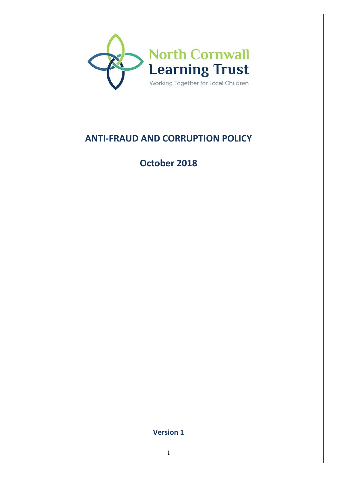

# **ANTI-FRAUD AND CORRUPTION POLICY**

**October 2018** 

**Version 1**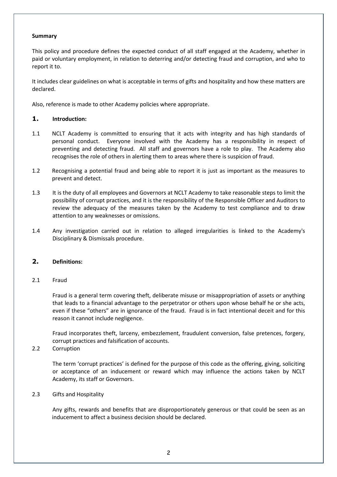#### **Summary**

This policy and procedure defines the expected conduct of all staff engaged at the Academy, whether in paid or voluntary employment, in relation to deterring and/or detecting fraud and corruption, and who to report it to.

It includes clear guidelines on what is acceptable in terms of gifts and hospitality and how these matters are declared.

Also, reference is made to other Academy policies where appropriate.

#### **1. Introduction:**

- 1.1 NCLT Academy is committed to ensuring that it acts with integrity and has high standards of personal conduct. Everyone involved with the Academy has a responsibility in respect of preventing and detecting fraud. All staff and governors have a role to play. The Academy also recognises the role of others in alerting them to areas where there is suspicion of fraud.
- 1.2 Recognising a potential fraud and being able to report it is just as important as the measures to prevent and detect.
- 1.3 It is the duty of all employees and Governors at NCLT Academy to take reasonable steps to limit the possibility of corrupt practices, and it is the responsibility of the Responsible Officer and Auditors to review the adequacy of the measures taken by the Academy to test compliance and to draw attention to any weaknesses or omissions.
- 1.4 Any investigation carried out in relation to alleged irregularities is linked to the Academy's Disciplinary & Dismissals procedure.

#### **2. Definitions:**

2.1 Fraud

Fraud is a general term covering theft, deliberate misuse or misappropriation of assets or anything that leads to a financial advantage to the perpetrator or others upon whose behalf he or she acts, even if these "others" are in ignorance of the fraud. Fraud is in fact intentional deceit and for this reason it cannot include negligence.

Fraud incorporates theft, larceny, embezzlement, fraudulent conversion, false pretences, forgery, corrupt practices and falsification of accounts.

#### 2.2 Corruption

The term 'corrupt practices' is defined for the purpose of this code as the offering, giving, soliciting or acceptance of an inducement or reward which may influence the actions taken by NCLT Academy, its staff or Governors.

#### 2.3 Gifts and Hospitality

Any gifts, rewards and benefits that are disproportionately generous or that could be seen as an inducement to affect a business decision should be declared.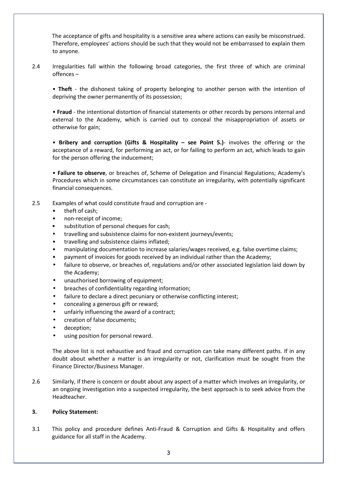The acceptance of gifts and hospitality is a sensitive area where actions can easily be misconstrued. Therefore, employees' actions should be such that they would not be embarrassed to explain them to anyone.

2.4 Irregularities fall within the following broad categories, the first three of which are criminal offences –

• **Theft** - the dishonest taking of property belonging to another person with the intention of depriving the owner permanently of its possession;

• **Fraud** - the intentional distortion of financial statements or other records by persons internal and external to the Academy, which is carried out to conceal the misappropriation of assets or otherwise for gain;

• **Bribery and corruption (Gifts & Hospitality – see Point 5.)**- involves the offering or the acceptance of a reward, for performing an act, or for failing to perform an act, which leads to gain for the person offering the inducement;

• **Failure to observe**, or breaches of, Scheme of Delegation and Financial Regulations; Academy's Procedures which in some circumstances can constitute an irregularity, with potentially significant financial consequences.

- 2.5 Examples of what could constitute fraud and corruption are
	- theft of cash:
	- non-receipt of income;
	- substitution of personal cheques for cash;
	- travelling and subsistence claims for non-existent journeys/events;
	- travelling and subsistence claims inflated;
	- manipulating documentation to increase salaries/wages received, e.g. false overtime claims;
	- payment of invoices for goods received by an individual rather than the Academy;
	- failure to observe, or breaches of, regulations and/or other associated legislation laid down by the Academy;
	- unauthorised borrowing of equipment;
	- breaches of confidentiality regarding information;
	- failure to declare a direct pecuniary or otherwise conflicting interest;
	- concealing a generous gift or reward;
	- unfairly influencing the award of a contract;
	- creation of false documents;
	- deception;
	- using position for personal reward.

The above list is not exhaustive and fraud and corruption can take many different paths. If in any doubt about whether a matter is an irregularity or not, clarification must be sought from the Finance Director/Business Manager.

2.6 Similarly, if there is concern or doubt about any aspect of a matter which involves an irregularity, or an ongoing investigation into a suspected irregularity, the best approach is to seek advice from the Headteacher.

#### **3. Policy Statement:**

3.1 This policy and procedure defines Anti-Fraud & Corruption and Gifts & Hospitality and offers guidance for all staff in the Academy.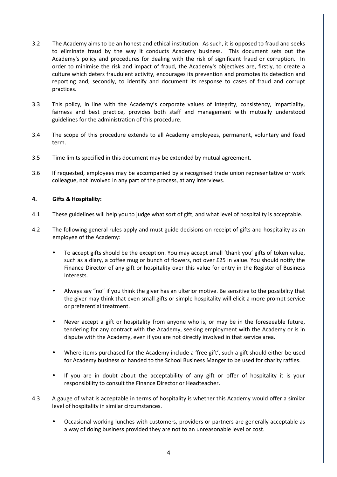- 3.2 The Academy aims to be an honest and ethical institution. As such, it is opposed to fraud and seeks to eliminate fraud by the way it conducts Academy business. This document sets out the Academy's policy and procedures for dealing with the risk of significant fraud or corruption. In order to minimise the risk and impact of fraud, the Academy's objectives are, firstly, to create a culture which deters fraudulent activity, encourages its prevention and promotes its detection and reporting and, secondly, to identify and document its response to cases of fraud and corrupt practices.
- 3.3 This policy, in line with the Academy's corporate values of integrity, consistency, impartiality, fairness and best practice, provides both staff and management with mutually understood guidelines for the administration of this procedure.
- 3.4 The scope of this procedure extends to all Academy employees, permanent, voluntary and fixed term.
- 3.5 Time limits specified in this document may be extended by mutual agreement.
- 3.6 If requested, employees may be accompanied by a recognised trade union representative or work colleague, not involved in any part of the process, at any interviews.

### **4. Gifts & Hospitality:**

- 4.1 These guidelines will help you to judge what sort of gift, and what level of hospitality is acceptable.
- 4.2 The following general rules apply and must guide decisions on receipt of gifts and hospitality as an employee of the Academy:
	- To accept gifts should be the exception. You may accept small 'thank you' gifts of token value, such as a diary, a coffee mug or bunch of flowers, not over £25 in value. You should notify the Finance Director of any gift or hospitality over this value for entry in the Register of Business Interests.
	- Always say "no" if you think the giver has an ulterior motive. Be sensitive to the possibility that the giver may think that even small gifts or simple hospitality will elicit a more prompt service or preferential treatment.
	- Never accept a gift or hospitality from anyone who is, or may be in the foreseeable future, tendering for any contract with the Academy, seeking employment with the Academy or is in dispute with the Academy, even if you are not directly involved in that service area.
	- Where items purchased for the Academy include a 'free gift', such a gift should either be used for Academy business or handed to the School Business Manger to be used for charity raffles.
	- If you are in doubt about the acceptability of any gift or offer of hospitality it is your responsibility to consult the Finance Director or Headteacher.
- 4.3 A gauge of what is acceptable in terms of hospitality is whether this Academy would offer a similar level of hospitality in similar circumstances.
	- Occasional working lunches with customers, providers or partners are generally acceptable as a way of doing business provided they are not to an unreasonable level or cost.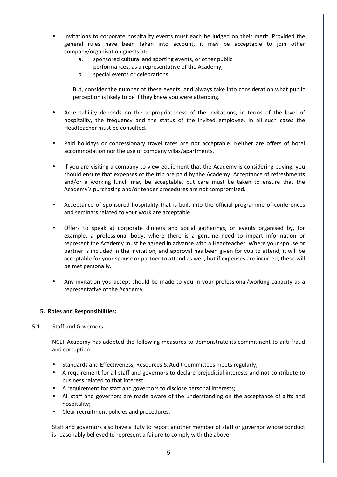- Invitations to corporate hospitality events must each be judged on their merit. Provided the general rules have been taken into account, it may be acceptable to join other company/organisation guests at:
	- a. sponsored cultural and sporting events, or other public performances, as a representative of the Academy;
	- b. special events or celebrations.

But, consider the number of these events, and always take into consideration what public perception is likely to be if they knew you were attending.

- Acceptability depends on the appropriateness of the invitations, in terms of the level of hospitality, the frequency and the status of the invited employee. In all such cases the Headteacher must be consulted.
- Paid holidays or concessionary travel rates are not acceptable. Neither are offers of hotel accommodation nor the use of company villas/apartments.
- If you are visiting a company to view equipment that the Academy is considering buying, you should ensure that expenses of the trip are paid by the Academy. Acceptance of refreshments and/or a working lunch may be acceptable, but care must be taken to ensure that the Academy's purchasing and/or tender procedures are not compromised.
- Acceptance of sponsored hospitality that is built into the official programme of conferences and seminars related to your work are acceptable.
- Offers to speak at corporate dinners and social gatherings, or events organised by, for example, a professional body, where there is a genuine need to impart information or represent the Academy must be agreed in advance with a Headteacher. Where your spouse or partner is included in the invitation, and approval has been given for you to attend, it will be acceptable for your spouse or partner to attend as well, but if expenses are incurred, these will be met personally.
- Any invitation you accept should be made to you in your professional/working capacity as a representative of the Academy.

# **5. Roles and Responsibilities:**

#### 5.1 Staff and Governors

NCLT Academy has adopted the following measures to demonstrate its commitment to anti-fraud and corruption:

- Standards and Effectiveness, Resources & Audit Committees meets regularly;
- A requirement for all staff and governors to declare prejudicial interests and not contribute to business related to that interest;
- A requirement for staff and governors to disclose personal interests;
- All staff and governors are made aware of the understanding on the acceptance of gifts and hospitality;
- Clear recruitment policies and procedures.

Staff and governors also have a duty to report another member of staff or governor whose conduct is reasonably believed to represent a failure to comply with the above.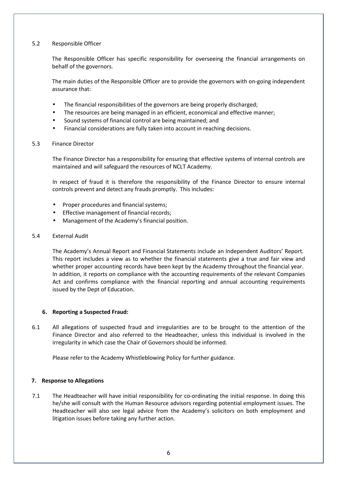#### 5.2 Responsible Officer

 The Responsible Officer has specific responsibility for overseeing the financial arrangements on behalf of the governors.

 The main duties of the Responsible Officer are to provide the governors with on-going independent assurance that:

- The financial responsibilities of the governors are being properly discharged;
- The resources are being managed in an efficient, economical and effective manner;
- Sound systems of financial control are being maintained; and
- Financial considerations are fully taken into account in reaching decisions.

#### 5.3 Finance Director

The Finance Director has a responsibility for ensuring that effective systems of internal controls are maintained and will safeguard the resources of NCLT Academy.

In respect of fraud it is therefore the responsibility of the Finance Director to ensure internal controls prevent and detect any frauds promptly. This includes:

- Proper procedures and financial systems;
- Effective management of financial records;
- Management of the Academy's financial position.

#### 5.4 External Audit

The Academy's Annual Report and Financial Statements include an Independent Auditors' Report. This report includes a view as to whether the financial statements give a true and fair view and whether proper accounting records have been kept by the Academy throughout the financial year. In addition, it reports on compliance with the accounting requirements of the relevant Companies Act and confirms compliance with the financial reporting and annual accounting requirements issued by the Dept of Education.

#### **6. Reporting a Suspected Fraud:**

6.1 All allegations of suspected fraud and irregularities are to be brought to the attention of the Finance Director and also referred to the Headteacher, unless this individual is involved in the irregularity in which case the Chair of Governors should be informed.

Please refer to the Academy Whistleblowing Policy for further guidance.

#### **7. Response to Allegations**

7.1 The Headteacher will have initial responsibility for co-ordinating the initial response. In doing this he/she will consult with the Human Resource advisors regarding potential employment issues. The Headteacher will also see legal advice from the Academy's solicitors on both employment and litigation issues before taking any further action.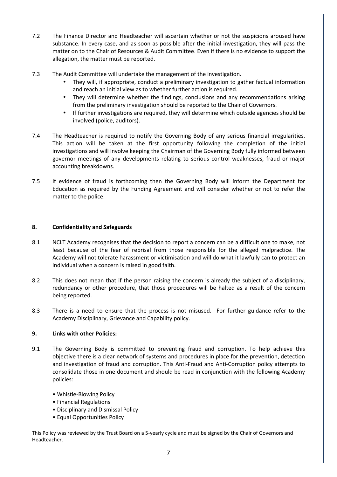- 7.2 The Finance Director and Headteacher will ascertain whether or not the suspicions aroused have substance. In every case, and as soon as possible after the initial investigation, they will pass the matter on to the Chair of Resources & Audit Committee. Even if there is no evidence to support the allegation, the matter must be reported.
- 7.3 The Audit Committee will undertake the management of the investigation.
	- They will, if appropriate, conduct a preliminary investigation to gather factual information and reach an initial view as to whether further action is required.
	- They will determine whether the findings, conclusions and any recommendations arising from the preliminary investigation should be reported to the Chair of Governors.
	- If further investigations are required, they will determine which outside agencies should be involved (police, auditors).
- 7.4 The Headteacher is required to notify the Governing Body of any serious financial irregularities. This action will be taken at the first opportunity following the completion of the initial investigations and will involve keeping the Chairman of the Governing Body fully informed between governor meetings of any developments relating to serious control weaknesses, fraud or major accounting breakdowns.
- 7.5 If evidence of fraud is forthcoming then the Governing Body will inform the Department for Education as required by the Funding Agreement and will consider whether or not to refer the matter to the police.

# **8. Confidentiality and Safeguards**

- 8.1 NCLT Academy recognises that the decision to report a concern can be a difficult one to make, not least because of the fear of reprisal from those responsible for the alleged malpractice. The Academy will not tolerate harassment or victimisation and will do what it lawfully can to protect an individual when a concern is raised in good faith.
- 8.2 This does not mean that if the person raising the concern is already the subject of a disciplinary, redundancy or other procedure, that those procedures will be halted as a result of the concern being reported.
- 8.3 There is a need to ensure that the process is not misused. For further guidance refer to the Academy Disciplinary, Grievance and Capability policy.

#### **9. Links with other Policies:**

- 9.1 The Governing Body is committed to preventing fraud and corruption. To help achieve this objective there is a clear network of systems and procedures in place for the prevention, detection and investigation of fraud and corruption. This Anti-Fraud and Anti-Corruption policy attempts to consolidate those in one document and should be read in conjunction with the following Academy policies:
	- Whistle-Blowing Policy
	- Financial Regulations
	- Disciplinary and Dismissal Policy
	- Equal Opportunities Policy

This Policy was reviewed by the Trust Board on a 5-yearly cycle and must be signed by the Chair of Governors and Headteacher.